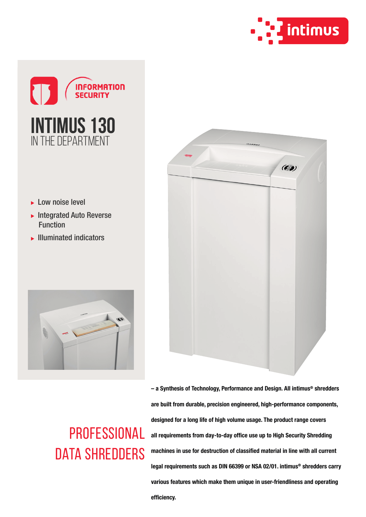



- ► Low noise level
- $\blacktriangleright$  Integrated Auto Reverse Function
- $\blacktriangleright$  Illuminated indicators





## **PROFESSIONAL** DATA SHREDDERS

– a Synthesis of Technology, Performance and Design. All intimus® shredders are built from durable, precision engineered, high-performance components, designed for a long life of high volume usage. The product range covers all requirements from day-to-day office use up to High Security Shredding machines in use for destruction of classified material in line with all current legal requirements such as DIN 66399 or NSA 02/01. intimus® shredders carry various features which make them unique in user-friendliness and operating efficiency.